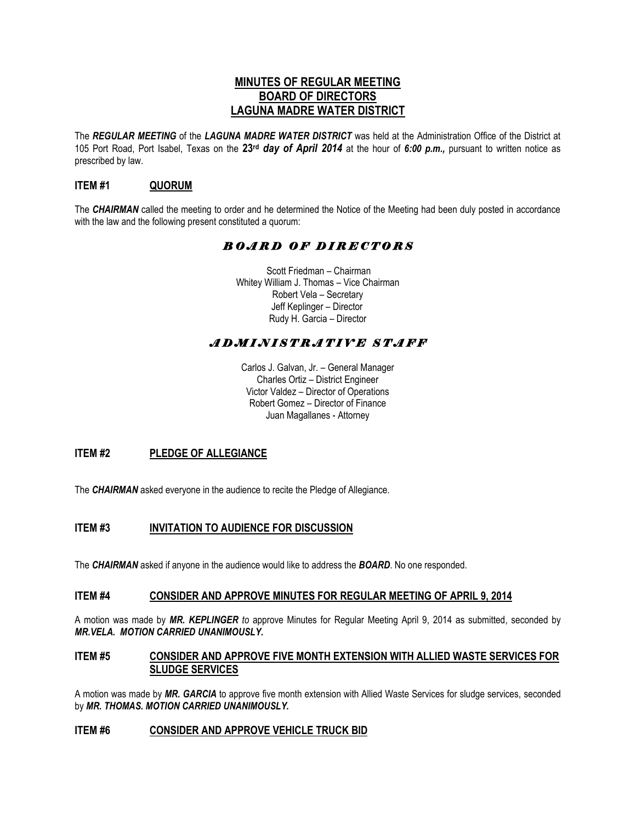# **MINUTES OF REGULAR MEETING BOARD OF DIRECTORS LAGUNA MADRE WATER DISTRICT**

The *REGULAR MEETING* of the *LAGUNA MADRE WATER DISTRICT* was held at the Administration Office of the District at 105 Port Road, Port Isabel, Texas on the **23rd** *day of April 2014* at the hour of *6:00 p.m.,* pursuant to written notice as prescribed by law.

# **ITEM #1 QUORUM**

The *CHAIRMAN* called the meeting to order and he determined the Notice of the Meeting had been duly posted in accordance with the law and the following present constituted a quorum:

# *B O A R D O F D I R E C T O R S*

 Scott Friedman – Chairman Whitey William J. Thomas – Vice Chairman Robert Vela – Secretary Jeff Keplinger – Director Rudy H. Garcia – Director

# *A D M I N I S T R A T I V E S T A F F*

Carlos J. Galvan, Jr. – General Manager Charles Ortiz – District Engineer Victor Valdez – Director of Operations Robert Gomez – Director of Finance Juan Magallanes - Attorney

# **ITEM #2 PLEDGE OF ALLEGIANCE**

The **CHAIRMAN** asked everyone in the audience to recite the Pledge of Allegiance.

# **ITEM #3 INVITATION TO AUDIENCE FOR DISCUSSION**

The *CHAIRMAN* asked if anyone in the audience would like to address the *BOARD*. No one responded.

#### **ITEM #4 CONSIDER AND APPROVE MINUTES FOR REGULAR MEETING OF APRIL 9, 2014**

A motion was made by *MR. KEPLINGER to* approve Minutes for Regular Meeting April 9, 2014 as submitted, seconded by *MR.VELA. MOTION CARRIED UNANIMOUSLY.*

## **ITEM #5 CONSIDER AND APPROVE FIVE MONTH EXTENSION WITH ALLIED WASTE SERVICES FOR SLUDGE SERVICES**

A motion was made by *MR. GARCIA* to approve five month extension with Allied Waste Services for sludge services, seconded by *MR. THOMAS. MOTION CARRIED UNANIMOUSLY.* 

#### **ITEM #6 CONSIDER AND APPROVE VEHICLE TRUCK BID**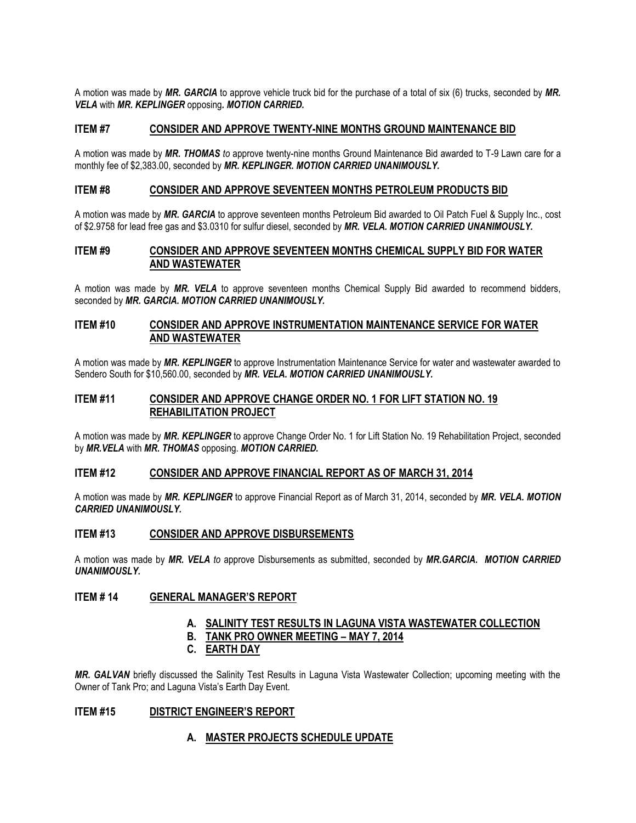A motion was made by *MR. GARCIA* to approve vehicle truck bid for the purchase of a total of six (6) trucks, seconded by *MR. VELA* with *MR. KEPLINGER* opposing*. MOTION CARRIED.* 

## **ITEM #7 CONSIDER AND APPROVE TWENTY-NINE MONTHS GROUND MAINTENANCE BID**

A motion was made by *MR. THOMAS to* approve twenty-nine months Ground Maintenance Bid awarded to T-9 Lawn care for a monthly fee of \$2,383.00, seconded by *MR. KEPLINGER. MOTION CARRIED UNANIMOUSLY.*

#### **ITEM #8 CONSIDER AND APPROVE SEVENTEEN MONTHS PETROLEUM PRODUCTS BID**

A motion was made by *MR. GARCIA* to approve seventeen months Petroleum Bid awarded to Oil Patch Fuel & Supply Inc., cost of \$2.9758 for lead free gas and \$3.0310 for sulfur diesel, seconded by *MR. VELA. MOTION CARRIED UNANIMOUSLY.*

## **ITEM #9 CONSIDER AND APPROVE SEVENTEEN MONTHS CHEMICAL SUPPLY BID FOR WATER AND WASTEWATER**

A motion was made by *MR. VELA* to approve seventeen months Chemical Supply Bid awarded to recommend bidders, seconded by *MR. GARCIA. MOTION CARRIED UNANIMOUSLY.*

## **ITEM #10 CONSIDER AND APPROVE INSTRUMENTATION MAINTENANCE SERVICE FOR WATER AND WASTEWATER**

A motion was made by *MR. KEPLINGER* to approve Instrumentation Maintenance Service for water and wastewater awarded to Sendero South for \$10,560.00, seconded by *MR. VELA. MOTION CARRIED UNANIMOUSLY.*

## **ITEM #11 CONSIDER AND APPROVE CHANGE ORDER NO. 1 FOR LIFT STATION NO. 19 REHABILITATION PROJECT**

A motion was made by *MR. KEPLINGER* to approve Change Order No. 1 for Lift Station No. 19 Rehabilitation Project, seconded by *MR.VELA* with *MR. THOMAS* opposing. *MOTION CARRIED.*

#### **ITEM #12 CONSIDER AND APPROVE FINANCIAL REPORT AS OF MARCH 31, 2014**

A motion was made by *MR. KEPLINGER* to approve Financial Report as of March 31, 2014, seconded by *MR. VELA. MOTION CARRIED UNANIMOUSLY.*

## **ITEM #13 CONSIDER AND APPROVE DISBURSEMENTS**

A motion was made by *MR. VELA to* approve Disbursements as submitted, seconded by *MR.GARCIA. MOTION CARRIED UNANIMOUSLY.*

## **ITEM # 14 GENERAL MANAGER'S REPORT**

## **A. SALINITY TEST RESULTS IN LAGUNA VISTA WASTEWATER COLLECTION**

**B. TANK PRO OWNER MEETING – MAY 7, 2014**

#### **C. EARTH DAY**

*MR. GALVAN* briefly discussed the Salinity Test Results in Laguna Vista Wastewater Collection; upcoming meeting with the Owner of Tank Pro; and Laguna Vista's Earth Day Event.

## **ITEM #15 DISTRICT ENGINEER'S REPORT**

#### **A. MASTER PROJECTS SCHEDULE UPDATE**